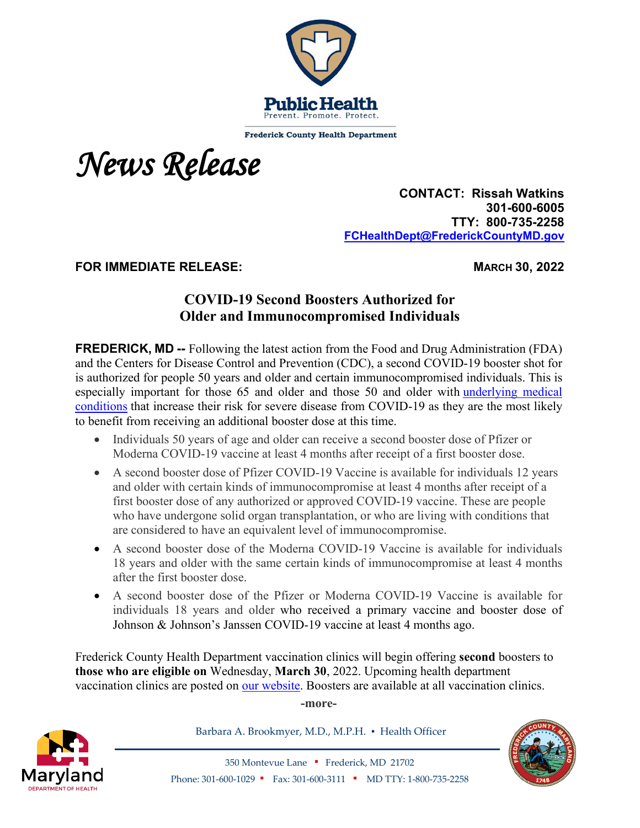

**Frederick County Health Department** 



 **CONTACT: Rissah Watkins 301-600-6005 TTY: 800-735-2258 [FCHealthDept@FrederickCountyMD.gov](mailto:RWatkinsFCHealthDept@FrederickCountyMD.gov)**

**FOR IMMEDIATE RELEASE: MARCH 30, 2022**

## **COVID-19 Second Boosters Authorized for Older and Immunocompromised Individuals**

**FREDERICK, MD --** Following the latest action from the Food and Drug Administration (FDA) and the Centers for Disease Control and Prevention (CDC), a second COVID-19 booster shot for is authorized for people 50 years and older and certain immunocompromised individuals. This is especially important for those 65 and older and those 50 and older with [underlying medical](https://www.cdc.gov/coronavirus/2019-ncov/need-extra-precautions/people-with-medical-conditions.html)  [conditions](https://www.cdc.gov/coronavirus/2019-ncov/need-extra-precautions/people-with-medical-conditions.html) that increase their risk for severe disease from COVID-19 as they are the most likely to benefit from receiving an additional booster dose at this time.

- Individuals 50 years of age and older can receive a second booster dose of Pfizer or Moderna COVID-19 vaccine at least 4 months after receipt of a first booster dose.
- A second booster dose of Pfizer COVID-19 Vaccine is available for individuals 12 years and older with certain kinds of immunocompromise at least 4 months after receipt of a first booster dose of any authorized or approved COVID-19 vaccine. These are people who have undergone solid organ transplantation, or who are living with conditions that are considered to have an equivalent level of immunocompromise.
- A second booster dose of the Moderna COVID-19 Vaccine is available for individuals 18 years and older with the same certain kinds of immunocompromise at least 4 months after the first booster dose.
- A second booster dose of the Pfizer or Moderna COVID-19 Vaccine is available for individuals 18 years and older who received a primary vaccine and booster dose of Johnson & Johnson's Janssen COVID-19 vaccine at least 4 months ago.

Frederick County Health Department vaccination clinics will begin offering **second** boosters to **those who are eligible on** Wednesday, **March 30**, 2022. Upcoming health department vaccination clinics are posted on [our website.](http://frederickcountymd.gov/CovidVaccine) Boosters are available at all vaccination clinics.

**-more-**



Barbara A. Brookmyer, M.D., M.P.H. · Health Officer